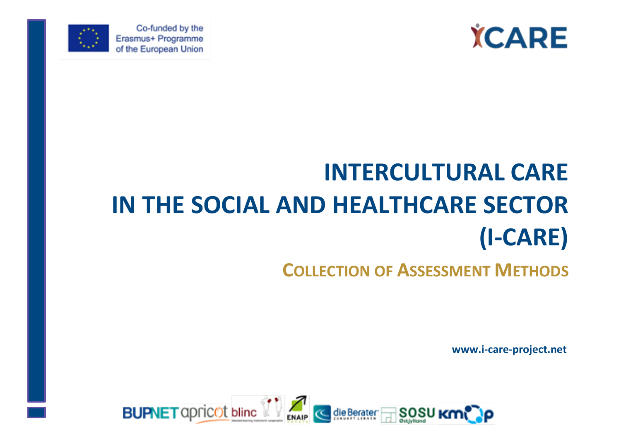



Co-funded by the Erasmus+ Programme of the European Union

# **INTERCULTURAL CARE IN THE SOCIAL AND HEALTHCARE SECTOR (I-CARE)**

## **COLLECTION OF ASSESSMENT METHODS**

**www.i-care-project.net**

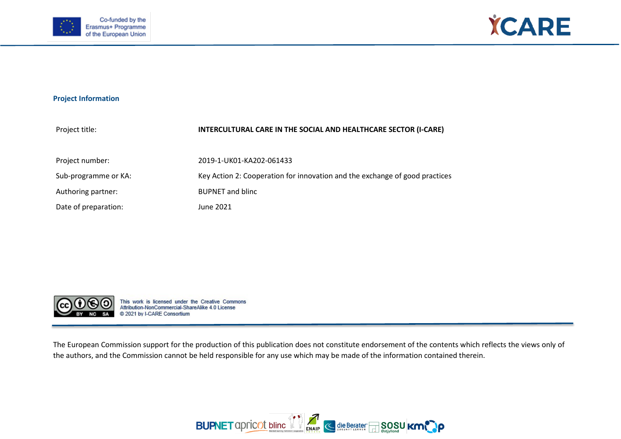



#### **Project Information**

| Project title:       | INTERCULTURAL CARE IN THE SOCIAL AND HEALTHCARE SECTOR (I-CARE)             |
|----------------------|-----------------------------------------------------------------------------|
| Project number:      | 2019-1-UK01-KA202-061433                                                    |
| Sub-programme or KA: | Key Action 2: Cooperation for innovation and the exchange of good practices |
| Authoring partner:   | <b>BUPNET and blinc</b>                                                     |
| Date of preparation: | June 2021                                                                   |



This work is licensed under the Creative Commons<br>Attribution-NonCommercial-ShareAlike 4.0 License @ 2021 by I-CARE Consortium

The European Commission support for the production of this publication does not constitute endorsement of the contents which reflects the views only of the authors, and the Commission cannot be held responsible for any use which may be made of the information contained therein.

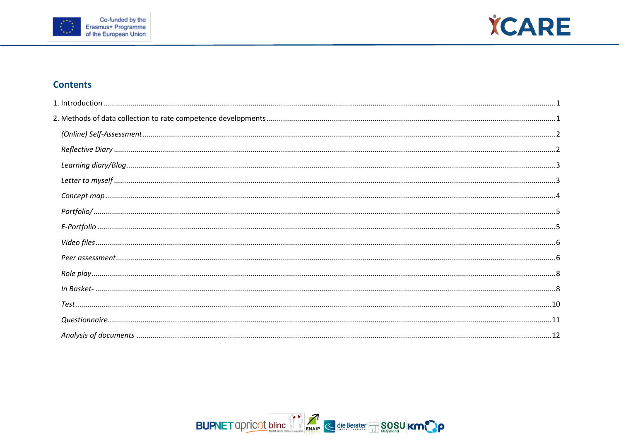



### **Contents**

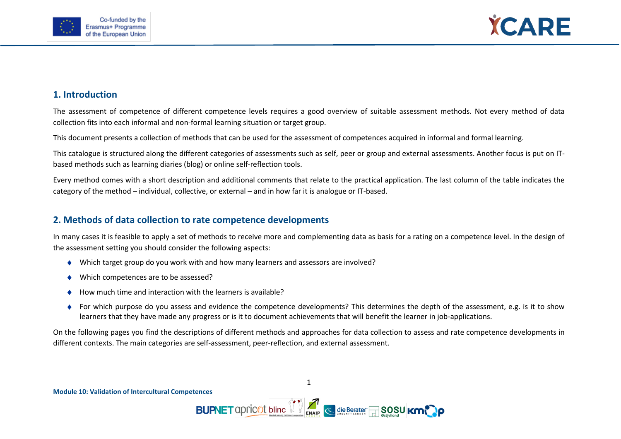



#### <span id="page-3-0"></span>**1. Introduction**

The assessment of competence of different competence levels requires a good overview of suitable assessment methods. Not every method of data collection fits into each informal and non-formal learning situation or target group.

This document presents a collection of methods that can be used for the assessment of competences acquired in informal and formal learning.

This catalogue is structured along the different categories of assessments such as self, peer or group and external assessments. Another focus is put on ITbased methods such as learning diaries (blog) or online self-reflection tools.

Every method comes with a short description and additional comments that relate to the practical application. The last column of the table indicates the category of the method – individual, collective, or external – and in how far it is analogue or IT-based.

#### <span id="page-3-1"></span>**2. Methods of data collection to rate competence developments**

In many cases it is feasible to apply a set of methods to receive more and complementing data as basis for a rating on a competence level. In the design of the assessment setting you should consider the following aspects:

- ♦ Which target group do you work with and how many learners and assessors are involved?
- Which competences are to be assessed?
- How much time and interaction with the learners is available?
- For which purpose do you assess and evidence the competence developments? This determines the depth of the assessment, e.g. is it to show learners that they have made any progress or is it to document achievements that will benefit the learner in job-applications.

On the following pages you find the descriptions of different methods and approaches for data collection to assess and rate competence developments in different contexts. The main categories are self-assessment, peer-reflection, and external assessment.

1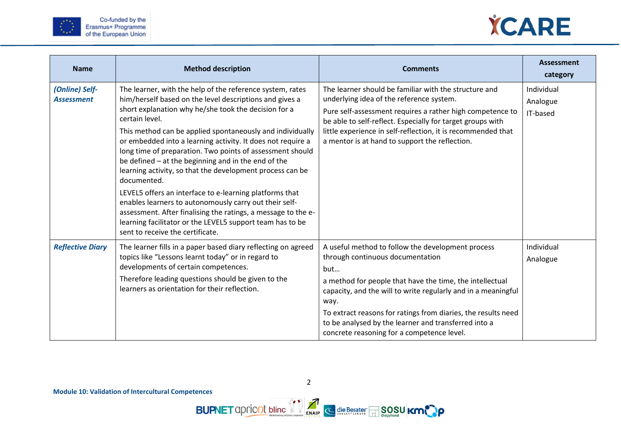



<span id="page-4-1"></span><span id="page-4-0"></span>

| <b>Name</b>                         | <b>Method description</b>                                                                                                                                                                                                                                                                                                                                                                                                                                                                                                                                                                                                                                                                                                                                                                                         | <b>Comments</b>                                                                                                                                                                                                                                                                                                                                                                                          | <b>Assessment</b><br>category      |
|-------------------------------------|-------------------------------------------------------------------------------------------------------------------------------------------------------------------------------------------------------------------------------------------------------------------------------------------------------------------------------------------------------------------------------------------------------------------------------------------------------------------------------------------------------------------------------------------------------------------------------------------------------------------------------------------------------------------------------------------------------------------------------------------------------------------------------------------------------------------|----------------------------------------------------------------------------------------------------------------------------------------------------------------------------------------------------------------------------------------------------------------------------------------------------------------------------------------------------------------------------------------------------------|------------------------------------|
| (Online) Self-<br><b>Assessment</b> | The learner, with the help of the reference system, rates<br>him/herself based on the level descriptions and gives a<br>short explanation why he/she took the decision for a<br>certain level.<br>This method can be applied spontaneously and individually<br>or embedded into a learning activity. It does not require a<br>long time of preparation. Two points of assessment should<br>be defined - at the beginning and in the end of the<br>learning activity, so that the development process can be<br>documented.<br>LEVEL5 offers an interface to e-learning platforms that<br>enables learners to autonomously carry out their self-<br>assessment. After finalising the ratings, a message to the e-<br>learning facilitator or the LEVEL5 support team has to be<br>sent to receive the certificate. | The learner should be familiar with the structure and<br>underlying idea of the reference system.<br>Pure self-assessment requires a rather high competence to<br>be able to self-reflect. Especially for target groups with<br>little experience in self-reflection, it is recommended that<br>a mentor is at hand to support the reflection.                                                           | Individual<br>Analogue<br>IT-based |
| <b>Reflective Diary</b>             | The learner fills in a paper based diary reflecting on agreed<br>topics like "Lessons learnt today" or in regard to<br>developments of certain competences.<br>Therefore leading questions should be given to the<br>learners as orientation for their reflection.                                                                                                                                                                                                                                                                                                                                                                                                                                                                                                                                                | A useful method to follow the development process<br>through continuous documentation<br>but<br>a method for people that have the time, the intellectual<br>capacity, and the will to write regularly and in a meaningful<br>way.<br>To extract reasons for ratings from diaries, the results need<br>to be analysed by the learner and transferred into a<br>concrete reasoning for a competence level. | Individual<br>Analogue             |

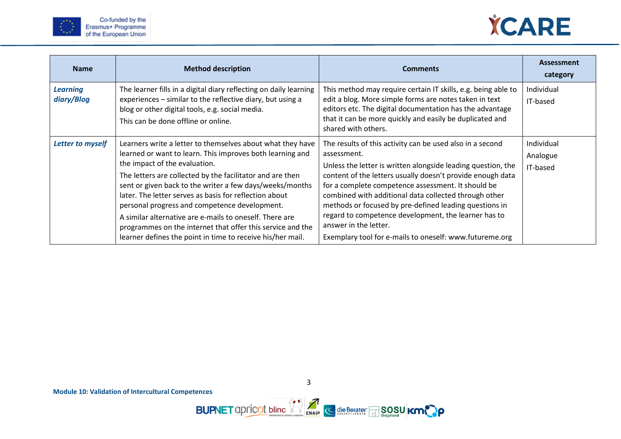



<span id="page-5-1"></span><span id="page-5-0"></span>

| <b>Name</b>                   | <b>Method description</b>                                                                                                                                                                                                                                                                                                                                                                                                                                                                                                                                                           | <b>Comments</b>                                                                                                                                                                                                                                                                                                                                                                                                                                                                                                             | <b>Assessment</b><br>category      |
|-------------------------------|-------------------------------------------------------------------------------------------------------------------------------------------------------------------------------------------------------------------------------------------------------------------------------------------------------------------------------------------------------------------------------------------------------------------------------------------------------------------------------------------------------------------------------------------------------------------------------------|-----------------------------------------------------------------------------------------------------------------------------------------------------------------------------------------------------------------------------------------------------------------------------------------------------------------------------------------------------------------------------------------------------------------------------------------------------------------------------------------------------------------------------|------------------------------------|
| <b>Learning</b><br>diary/Blog | The learner fills in a digital diary reflecting on daily learning<br>experiences - similar to the reflective diary, but using a<br>blog or other digital tools, e.g. social media.<br>This can be done offline or online.                                                                                                                                                                                                                                                                                                                                                           | This method may require certain IT skills, e.g. being able to<br>edit a blog. More simple forms are notes taken in text<br>editors etc. The digital documentation has the advantage<br>that it can be more quickly and easily be duplicated and<br>shared with others.                                                                                                                                                                                                                                                      | Individual<br>IT-based             |
| <b>Letter to myself</b>       | Learners write a letter to themselves about what they have<br>learned or want to learn. This improves both learning and<br>the impact of the evaluation.<br>The letters are collected by the facilitator and are then<br>sent or given back to the writer a few days/weeks/months<br>later. The letter serves as basis for reflection about<br>personal progress and competence development.<br>A similar alternative are e-mails to oneself. There are<br>programmes on the internet that offer this service and the<br>learner defines the point in time to receive his/her mail. | The results of this activity can be used also in a second<br>assessment.<br>Unless the letter is written alongside leading question, the<br>content of the letters usually doesn't provide enough data<br>for a complete competence assessment. It should be<br>combined with additional data collected through other<br>methods or focused by pre-defined leading questions in<br>regard to competence development, the learner has to<br>answer in the letter.<br>Exemplary tool for e-mails to oneself: www.futureme.org | Individual<br>Analogue<br>IT-based |

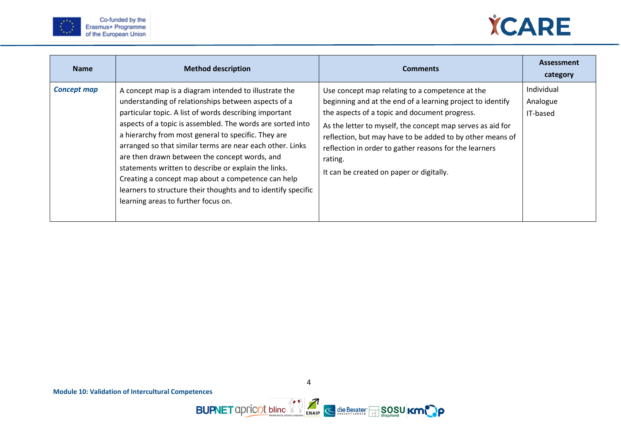



<span id="page-6-0"></span>

| <b>Name</b>        | <b>Method description</b>                                                                                                                                                                                                                                                                                                                                                                                                                                                                                                                                                                                                       | <b>Comments</b>                                                                                                                                                                                                                                                                                                                                                                                            | <b>Assessment</b><br>category      |
|--------------------|---------------------------------------------------------------------------------------------------------------------------------------------------------------------------------------------------------------------------------------------------------------------------------------------------------------------------------------------------------------------------------------------------------------------------------------------------------------------------------------------------------------------------------------------------------------------------------------------------------------------------------|------------------------------------------------------------------------------------------------------------------------------------------------------------------------------------------------------------------------------------------------------------------------------------------------------------------------------------------------------------------------------------------------------------|------------------------------------|
| <b>Concept map</b> | A concept map is a diagram intended to illustrate the<br>understanding of relationships between aspects of a<br>particular topic. A list of words describing important<br>aspects of a topic is assembled. The words are sorted into<br>a hierarchy from most general to specific. They are<br>arranged so that similar terms are near each other. Links<br>are then drawn between the concept words, and<br>statements written to describe or explain the links.<br>Creating a concept map about a competence can help<br>learners to structure their thoughts and to identify specific<br>learning areas to further focus on. | Use concept map relating to a competence at the<br>beginning and at the end of a learning project to identify<br>the aspects of a topic and document progress.<br>As the letter to myself, the concept map serves as aid for<br>reflection, but may have to be added to by other means of<br>reflection in order to gather reasons for the learners<br>rating.<br>It can be created on paper or digitally. | Individual<br>Analogue<br>IT-based |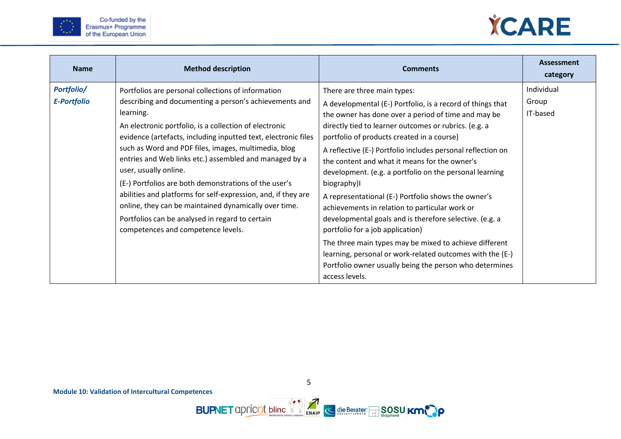



<span id="page-7-1"></span><span id="page-7-0"></span>

| <b>Name</b>                      | <b>Method description</b>                                                                                                                                                                                                                                                                                                                                                                                                                                                                                                                                                                                                                                                    | <b>Comments</b>                                                                                                                                                                                                                                                                                                                                                                                                                                                                                                                                                                                                                                                                                                                                                                                                                                              | <b>Assessment</b><br>category   |
|----------------------------------|------------------------------------------------------------------------------------------------------------------------------------------------------------------------------------------------------------------------------------------------------------------------------------------------------------------------------------------------------------------------------------------------------------------------------------------------------------------------------------------------------------------------------------------------------------------------------------------------------------------------------------------------------------------------------|--------------------------------------------------------------------------------------------------------------------------------------------------------------------------------------------------------------------------------------------------------------------------------------------------------------------------------------------------------------------------------------------------------------------------------------------------------------------------------------------------------------------------------------------------------------------------------------------------------------------------------------------------------------------------------------------------------------------------------------------------------------------------------------------------------------------------------------------------------------|---------------------------------|
| Portfolio/<br><b>E-Portfolio</b> | Portfolios are personal collections of information<br>describing and documenting a person's achievements and<br>learning.<br>An electronic portfolio, is a collection of electronic<br>evidence (artefacts, including inputted text, electronic files<br>such as Word and PDF files, images, multimedia, blog<br>entries and Web links etc.) assembled and managed by a<br>user, usually online.<br>(E-) Portfolios are both demonstrations of the user's<br>abilities and platforms for self-expression, and, if they are<br>online, they can be maintained dynamically over time.<br>Portfolios can be analysed in regard to certain<br>competences and competence levels. | There are three main types:<br>A developmental (E-) Portfolio, is a record of things that<br>the owner has done over a period of time and may be<br>directly tied to learner outcomes or rubrics. (e.g. a<br>portfolio of products created in a course)<br>A reflective (E-) Portfolio includes personal reflection on<br>the content and what it means for the owner's<br>development. (e.g. a portfolio on the personal learning<br>biography)<br>A representational (E-) Portfolio shows the owner's<br>achievements in relation to particular work or<br>developmental goals and is therefore selective. (e.g. a<br>portfolio for a job application)<br>The three main types may be mixed to achieve different<br>learning, personal or work-related outcomes with the (E-)<br>Portfolio owner usually being the person who determines<br>access levels. | Individual<br>Group<br>IT-based |

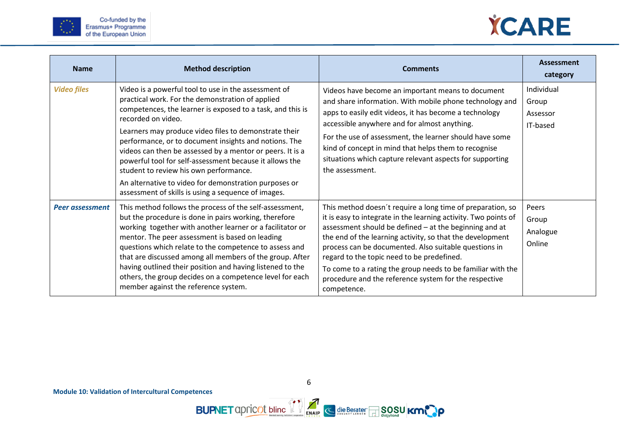



<span id="page-8-1"></span><span id="page-8-0"></span>

| <b>Name</b>            | <b>Method description</b>                                                                                                                                                                                                                                                                                                                                                                                                                                                                                                                                                                        | <b>Comments</b>                                                                                                                                                                                                                                                                                                                                                                                                                                                                                    | <b>Assessment</b><br>category               |
|------------------------|--------------------------------------------------------------------------------------------------------------------------------------------------------------------------------------------------------------------------------------------------------------------------------------------------------------------------------------------------------------------------------------------------------------------------------------------------------------------------------------------------------------------------------------------------------------------------------------------------|----------------------------------------------------------------------------------------------------------------------------------------------------------------------------------------------------------------------------------------------------------------------------------------------------------------------------------------------------------------------------------------------------------------------------------------------------------------------------------------------------|---------------------------------------------|
| <b>Video files</b>     | Video is a powerful tool to use in the assessment of<br>practical work. For the demonstration of applied<br>competences, the learner is exposed to a task, and this is<br>recorded on video.<br>Learners may produce video files to demonstrate their<br>performance, or to document insights and notions. The<br>videos can then be assessed by a mentor or peers. It is a<br>powerful tool for self-assessment because it allows the<br>student to review his own performance.<br>An alternative to video for demonstration purposes or<br>assessment of skills is using a sequence of images. | Videos have become an important means to document<br>and share information. With mobile phone technology and<br>apps to easily edit videos, it has become a technology<br>accessible anywhere and for almost anything.<br>For the use of assessment, the learner should have some<br>kind of concept in mind that helps them to recognise<br>situations which capture relevant aspects for supporting<br>the assessment.                                                                           | Individual<br>Group<br>Assessor<br>IT-based |
| <b>Peer assessment</b> | This method follows the process of the self-assessment,<br>but the procedure is done in pairs working, therefore<br>working together with another learner or a facilitator or<br>mentor. The peer assessment is based on leading<br>questions which relate to the competence to assess and<br>that are discussed among all members of the group. After<br>having outlined their position and having listened to the<br>others, the group decides on a competence level for each<br>member against the reference system.                                                                          | This method doesn't require a long time of preparation, so<br>it is easy to integrate in the learning activity. Two points of<br>assessment should be defined - at the beginning and at<br>the end of the learning activity, so that the development<br>process can be documented. Also suitable questions in<br>regard to the topic need to be predefined.<br>To come to a rating the group needs to be familiar with the<br>procedure and the reference system for the respective<br>competence. | Peers<br>Group<br>Analogue<br>Online        |

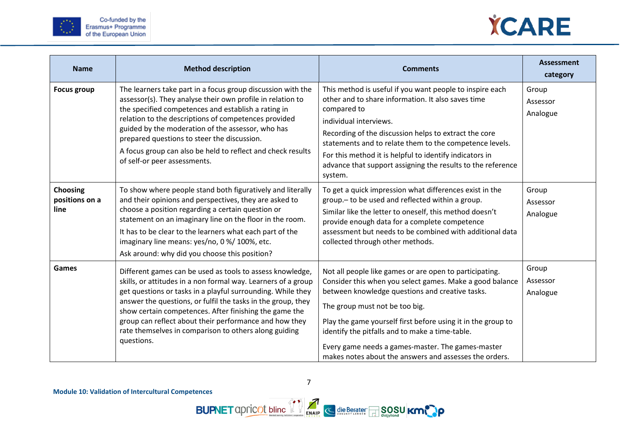



| <b>Name</b>                               | <b>Method description</b>                                                                                                                                                                                                                                                                                                                                                                                                                            | <b>Comments</b>                                                                                                                                                                                                                                                                                                                                                                                                                            | <b>Assessment</b><br>category |
|-------------------------------------------|------------------------------------------------------------------------------------------------------------------------------------------------------------------------------------------------------------------------------------------------------------------------------------------------------------------------------------------------------------------------------------------------------------------------------------------------------|--------------------------------------------------------------------------------------------------------------------------------------------------------------------------------------------------------------------------------------------------------------------------------------------------------------------------------------------------------------------------------------------------------------------------------------------|-------------------------------|
| <b>Focus group</b>                        | The learners take part in a focus group discussion with the<br>assessor(s). They analyse their own profile in relation to<br>the specified competences and establish a rating in<br>relation to the descriptions of competences provided<br>guided by the moderation of the assessor, who has<br>prepared questions to steer the discussion.<br>A focus group can also be held to reflect and check results<br>of self-or peer assessments.          | This method is useful if you want people to inspire each<br>other and to share information. It also saves time<br>compared to<br>individual interviews.<br>Recording of the discussion helps to extract the core<br>statements and to relate them to the competence levels.<br>For this method it is helpful to identify indicators in<br>advance that support assigning the results to the reference<br>system.                           | Group<br>Assessor<br>Analogue |
| <b>Choosing</b><br>positions on a<br>line | To show where people stand both figuratively and literally<br>and their opinions and perspectives, they are asked to<br>choose a position regarding a certain question or<br>statement on an imaginary line on the floor in the room.<br>It has to be clear to the learners what each part of the<br>imaginary line means: yes/no, 0 %/ 100%, etc.<br>Ask around: why did you choose this position?                                                  | To get a quick impression what differences exist in the<br>group .- to be used and reflected within a group.<br>Similar like the letter to oneself, this method doesn't<br>provide enough data for a complete competence<br>assessment but needs to be combined with additional data<br>collected through other methods.                                                                                                                   | Group<br>Assessor<br>Analogue |
| Games                                     | Different games can be used as tools to assess knowledge,<br>skills, or attitudes in a non formal way. Learners of a group<br>get questions or tasks in a playful surrounding. While they<br>answer the questions, or fulfil the tasks in the group, they<br>show certain competences. After finishing the game the<br>group can reflect about their performance and how they<br>rate themselves in comparison to others along guiding<br>questions. | Not all people like games or are open to participating.<br>Consider this when you select games. Make a good balance<br>between knowledge questions and creative tasks.<br>The group must not be too big.<br>Play the game yourself first before using it in the group to<br>identify the pitfalls and to make a time-table.<br>Every game needs a games-master. The games-master<br>makes notes about the answers and assesses the orders. | Group<br>Assessor<br>Analogue |

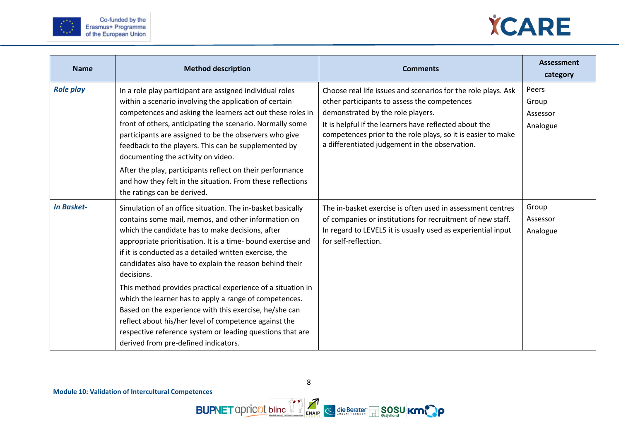



<span id="page-10-1"></span><span id="page-10-0"></span>

| <b>Name</b>       | <b>Method description</b>                                                                                                                                                                                                                                                                                                                                                                                                                                                                                                                                                                                                                                                                                                 | <b>Comments</b>                                                                                                                                                                                                                                                                                                                | <b>Assessment</b><br>category          |
|-------------------|---------------------------------------------------------------------------------------------------------------------------------------------------------------------------------------------------------------------------------------------------------------------------------------------------------------------------------------------------------------------------------------------------------------------------------------------------------------------------------------------------------------------------------------------------------------------------------------------------------------------------------------------------------------------------------------------------------------------------|--------------------------------------------------------------------------------------------------------------------------------------------------------------------------------------------------------------------------------------------------------------------------------------------------------------------------------|----------------------------------------|
| <b>Role play</b>  | In a role play participant are assigned individual roles<br>within a scenario involving the application of certain<br>competences and asking the learners act out these roles in<br>front of others, anticipating the scenario. Normally some<br>participants are assigned to be the observers who give<br>feedback to the players. This can be supplemented by<br>documenting the activity on video.<br>After the play, participants reflect on their performance<br>and how they felt in the situation. From these reflections<br>the ratings can be derived.                                                                                                                                                           | Choose real life issues and scenarios for the role plays. Ask<br>other participants to assess the competences<br>demonstrated by the role players.<br>It is helpful if the learners have reflected about the<br>competences prior to the role plays, so it is easier to make<br>a differentiated judgement in the observation. | Peers<br>Group<br>Assessor<br>Analogue |
| <b>In Basket-</b> | Simulation of an office situation. The in-basket basically<br>contains some mail, memos, and other information on<br>which the candidate has to make decisions, after<br>appropriate prioritisation. It is a time- bound exercise and<br>if it is conducted as a detailed written exercise, the<br>candidates also have to explain the reason behind their<br>decisions.<br>This method provides practical experience of a situation in<br>which the learner has to apply a range of competences.<br>Based on the experience with this exercise, he/she can<br>reflect about his/her level of competence against the<br>respective reference system or leading questions that are<br>derived from pre-defined indicators. | The in-basket exercise is often used in assessment centres<br>of companies or institutions for recruitment of new staff.<br>In regard to LEVEL5 it is usually used as experiential input<br>for self-reflection.                                                                                                               | Group<br>Assessor<br>Analogue          |

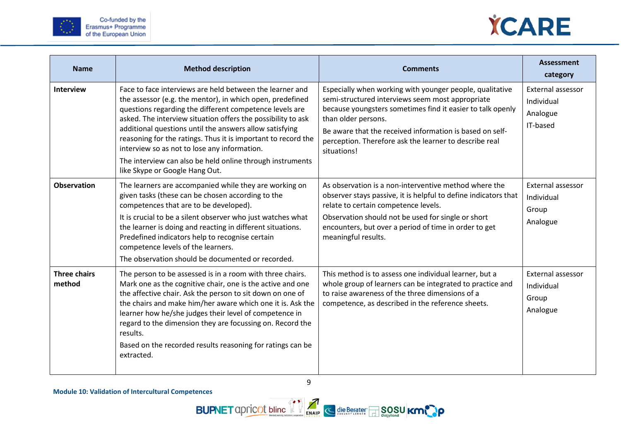



| <b>Name</b>                   | <b>Method description</b>                                                                                                                                                                                                                                                                                                                                                                                                                                                                                                   | <b>Comments</b>                                                                                                                                                                                                                                                                                                                        | <b>Assessment</b><br>category                           |
|-------------------------------|-----------------------------------------------------------------------------------------------------------------------------------------------------------------------------------------------------------------------------------------------------------------------------------------------------------------------------------------------------------------------------------------------------------------------------------------------------------------------------------------------------------------------------|----------------------------------------------------------------------------------------------------------------------------------------------------------------------------------------------------------------------------------------------------------------------------------------------------------------------------------------|---------------------------------------------------------|
| <b>Interview</b>              | Face to face interviews are held between the learner and<br>the assessor (e.g. the mentor), in which open, predefined<br>questions regarding the different competence levels are<br>asked. The interview situation offers the possibility to ask<br>additional questions until the answers allow satisfying<br>reasoning for the ratings. Thus it is important to record the<br>interview so as not to lose any information.<br>The interview can also be held online through instruments<br>like Skype or Google Hang Out. | Especially when working with younger people, qualitative<br>semi-structured interviews seem most appropriate<br>because youngsters sometimes find it easier to talk openly<br>than older persons.<br>Be aware that the received information is based on self-<br>perception. Therefore ask the learner to describe real<br>situations! | External assessor<br>Individual<br>Analogue<br>IT-based |
| <b>Observation</b>            | The learners are accompanied while they are working on<br>given tasks (these can be chosen according to the<br>competences that are to be developed).<br>It is crucial to be a silent observer who just watches what<br>the learner is doing and reacting in different situations.<br>Predefined indicators help to recognise certain<br>competence levels of the learners.<br>The observation should be documented or recorded.                                                                                            | As observation is a non-interventive method where the<br>observer stays passive, it is helpful to define indicators that<br>relate to certain competence levels.<br>Observation should not be used for single or short<br>encounters, but over a period of time in order to get<br>meaningful results.                                 | External assessor<br>Individual<br>Group<br>Analogue    |
| <b>Three chairs</b><br>method | The person to be assessed is in a room with three chairs.<br>Mark one as the cognitive chair, one is the active and one<br>the affective chair. Ask the person to sit down on one of<br>the chairs and make him/her aware which one it is. Ask the<br>learner how he/she judges their level of competence in<br>regard to the dimension they are focussing on. Record the<br>results.<br>Based on the recorded results reasoning for ratings can be<br>extracted.                                                           | This method is to assess one individual learner, but a<br>whole group of learners can be integrated to practice and<br>to raise awareness of the three dimensions of a<br>competence, as described in the reference sheets.                                                                                                            | External assessor<br>Individual<br>Group<br>Analogue    |



9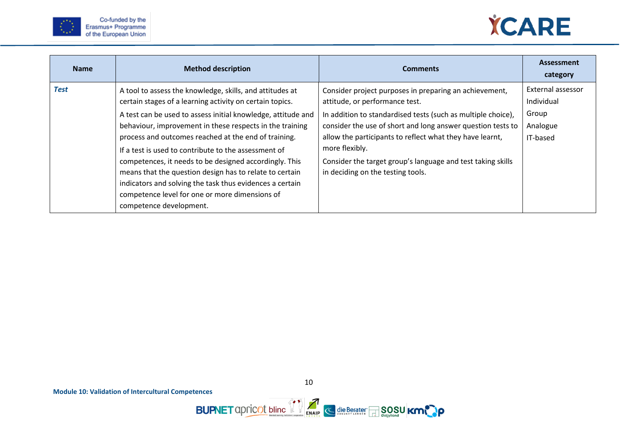



<span id="page-12-0"></span>

| <b>Name</b> | <b>Method description</b>                                                                                                                                                                                                                                                                                                                                                                                                                                                                                                                                                                                                      | <b>Comments</b>                                                                                                                                                                                                                                                                                                                                                                                           | <b>Assessment</b><br>category                                    |
|-------------|--------------------------------------------------------------------------------------------------------------------------------------------------------------------------------------------------------------------------------------------------------------------------------------------------------------------------------------------------------------------------------------------------------------------------------------------------------------------------------------------------------------------------------------------------------------------------------------------------------------------------------|-----------------------------------------------------------------------------------------------------------------------------------------------------------------------------------------------------------------------------------------------------------------------------------------------------------------------------------------------------------------------------------------------------------|------------------------------------------------------------------|
| <b>Test</b> | A tool to assess the knowledge, skills, and attitudes at<br>certain stages of a learning activity on certain topics.<br>A test can be used to assess initial knowledge, attitude and<br>behaviour, improvement in these respects in the training<br>process and outcomes reached at the end of training.<br>If a test is used to contribute to the assessment of<br>competences, it needs to be designed accordingly. This<br>means that the question design has to relate to certain<br>indicators and solving the task thus evidences a certain<br>competence level for one or more dimensions of<br>competence development. | Consider project purposes in preparing an achievement,<br>attitude, or performance test.<br>In addition to standardised tests (such as multiple choice),<br>consider the use of short and long answer question tests to<br>allow the participants to reflect what they have learnt,<br>more flexibly.<br>Consider the target group's language and test taking skills<br>in deciding on the testing tools. | External assessor<br>Individual<br>Group<br>Analogue<br>IT-based |

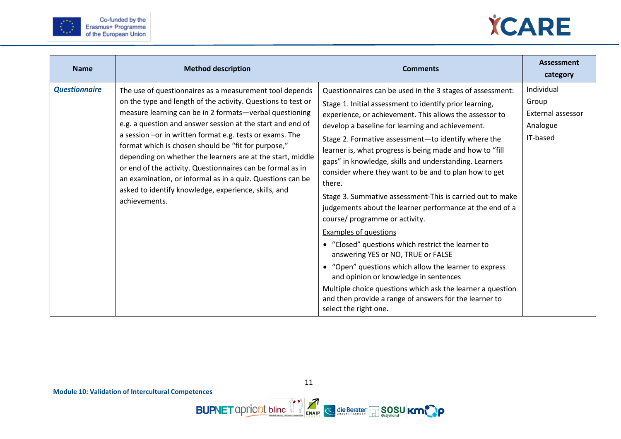



<span id="page-13-0"></span>

| <b>Name</b>          | <b>Method description</b>                                                                                                                                                                                                                                                                                                                                                                                                                                                                                                                                                                                                              | <b>Comments</b>                                                                                                                                                                                                                                                                                                                                                                                                                                                                                                                                                                                                                                                                                                                                                                                                                                                                                                                                                                                                               | <b>Assessment</b><br>category                                    |
|----------------------|----------------------------------------------------------------------------------------------------------------------------------------------------------------------------------------------------------------------------------------------------------------------------------------------------------------------------------------------------------------------------------------------------------------------------------------------------------------------------------------------------------------------------------------------------------------------------------------------------------------------------------------|-------------------------------------------------------------------------------------------------------------------------------------------------------------------------------------------------------------------------------------------------------------------------------------------------------------------------------------------------------------------------------------------------------------------------------------------------------------------------------------------------------------------------------------------------------------------------------------------------------------------------------------------------------------------------------------------------------------------------------------------------------------------------------------------------------------------------------------------------------------------------------------------------------------------------------------------------------------------------------------------------------------------------------|------------------------------------------------------------------|
| <b>Questionnaire</b> | The use of questionnaires as a measurement tool depends<br>on the type and length of the activity. Questions to test or<br>measure learning can be in 2 formats-verbal questioning<br>e.g. a question and answer session at the start and end of<br>a session -or in written format e.g. tests or exams. The<br>format which is chosen should be "fit for purpose,"<br>depending on whether the learners are at the start, middle<br>or end of the activity. Questionnaires can be formal as in<br>an examination, or informal as in a quiz. Questions can be<br>asked to identify knowledge, experience, skills, and<br>achievements. | Questionnaires can be used in the 3 stages of assessment:<br>Stage 1. Initial assessment to identify prior learning,<br>experience, or achievement. This allows the assessor to<br>develop a baseline for learning and achievement.<br>Stage 2. Formative assessment-to identify where the<br>learner is, what progress is being made and how to "fill<br>gaps" in knowledge, skills and understanding. Learners<br>consider where they want to be and to plan how to get<br>there.<br>Stage 3. Summative assessment-This is carried out to make<br>judgements about the learner performance at the end of a<br>course/ programme or activity.<br><b>Examples of questions</b><br>• "Closed" questions which restrict the learner to<br>answering YES or NO, TRUE or FALSE<br>• "Open" questions which allow the learner to express<br>and opinion or knowledge in sentences<br>Multiple choice questions which ask the learner a question<br>and then provide a range of answers for the learner to<br>select the right one. | Individual<br>Group<br>External assessor<br>Analogue<br>IT-based |